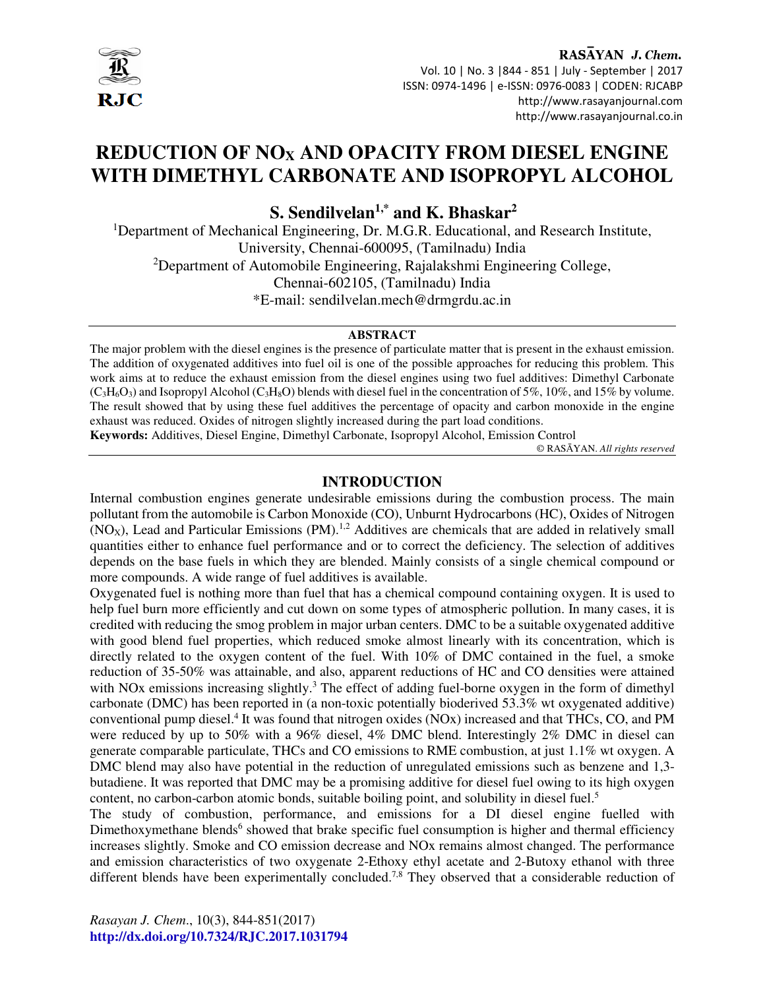

RASAYAN J. Chem. Vol. 10 | No. 3 |844 - 851 | July - September | 2017 ISSN: 0974-1496 | e-ISSN: 0976-0083 | CODEN: RJCABP http://www.rasayanjournal.com http://www.rasayanjournal.co.in

# **REDUCTION OF NOX AND OPACITY FROM DIESEL ENGINE WITH DIMETHYL CARBONATE AND ISOPROPYL ALCOHOL**

**S. Sendilvelan1,\* and K. Bhaskar<sup>2</sup>**

<sup>1</sup>Department of Mechanical Engineering, Dr. M.G.R. Educational, and Research Institute, University, Chennai-600095, (Tamilnadu) India <sup>2</sup>Department of Automobile Engineering, Rajalakshmi Engineering College, Chennai-602105, (Tamilnadu) India \*E-mail: sendilvelan.mech@drmgrdu.ac.in

#### **ABSTRACT**

The major problem with the diesel engines is the presence of particulate matter that is present in the exhaust emission. The addition of oxygenated additives into fuel oil is one of the possible approaches for reducing this problem. This work aims at to reduce the exhaust emission from the diesel engines using two fuel additives: Dimethyl Carbonate  $(C_3H_6O_3)$  and Isopropyl Alcohol  $(C_3H_8O)$  blends with diesel fuel in the concentration of 5%, 10%, and 15% by volume. The result showed that by using these fuel additives the percentage of opacity and carbon monoxide in the engine exhaust was reduced. Oxides of nitrogen slightly increased during the part load conditions.

**Keywords:** Additives, Diesel Engine, Dimethyl Carbonate, Isopropyl Alcohol, Emission Control

© RASĀYAN. *All rights reserved*

## **INTRODUCTION**

Internal combustion engines generate undesirable emissions during the combustion process. The main pollutant from the automobile is Carbon Monoxide (CO), Unburnt Hydrocarbons (HC), Oxides of Nitrogen  $(NO<sub>X</sub>)$ , Lead and Particular Emissions (PM).<sup>1,2</sup> Additives are chemicals that are added in relatively small quantities either to enhance fuel performance and or to correct the deficiency. The selection of additives depends on the base fuels in which they are blended. Mainly consists of a single chemical compound or more compounds. A wide range of fuel additives is available.

Oxygenated fuel is nothing more than fuel that has a chemical compound containing oxygen. It is used to help fuel burn more efficiently and cut down on some types of atmospheric pollution. In many cases, it is credited with reducing the smog problem in major urban centers. DMC to be a suitable oxygenated additive with good blend fuel properties, which reduced smoke almost linearly with its concentration, which is directly related to the oxygen content of the fuel. With 10% of DMC contained in the fuel, a smoke reduction of 35-50% was attainable, and also, apparent reductions of HC and CO densities were attained with NOx emissions increasing slightly.<sup>3</sup> The effect of adding fuel-borne oxygen in the form of dimethyl carbonate (DMC) has been reported in (a non-toxic potentially bioderived 53.3% wt oxygenated additive) conventional pump diesel.<sup>4</sup> It was found that nitrogen oxides (NOx) increased and that THCs, CO, and PM were reduced by up to 50% with a 96% diesel, 4% DMC blend. Interestingly 2% DMC in diesel can generate comparable particulate, THCs and CO emissions to RME combustion, at just 1.1% wt oxygen. A DMC blend may also have potential in the reduction of unregulated emissions such as benzene and 1,3 butadiene. It was reported that DMC may be a promising additive for diesel fuel owing to its high oxygen content, no carbon-carbon atomic bonds, suitable boiling point, and solubility in diesel fuel.<sup>5</sup>

The study of combustion, performance, and emissions for a DI diesel engine fuelled with Dimethoxymethane blends<sup>6</sup> showed that brake specific fuel consumption is higher and thermal efficiency increases slightly. Smoke and CO emission decrease and NOx remains almost changed. The performance and emission characteristics of two oxygenate 2-Ethoxy ethyl acetate and 2-Butoxy ethanol with three different blends have been experimentally concluded.<sup>7,8</sup> They observed that a considerable reduction of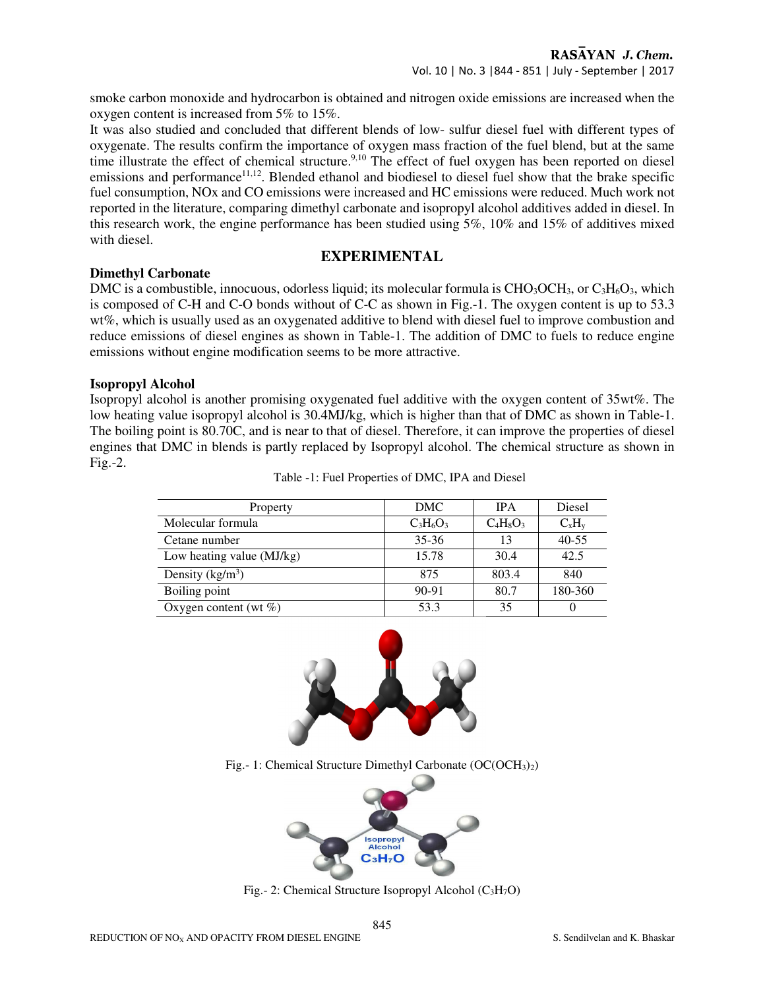smoke carbon monoxide and hydrocarbon is obtained and nitrogen oxide emissions are increased when the oxygen content is increased from 5% to 15%.

It was also studied and concluded that different blends of low- sulfur diesel fuel with different types of oxygenate. The results confirm the importance of oxygen mass fraction of the fuel blend, but at the same time illustrate the effect of chemical structure.<sup>9,10</sup> The effect of fuel oxygen has been reported on diesel emissions and performance<sup>11,12</sup>. Blended ethanol and biodiesel to diesel fuel show that the brake specific fuel consumption, NOx and CO emissions were increased and HC emissions were reduced. Much work not reported in the literature, comparing dimethyl carbonate and isopropyl alcohol additives added in diesel. In this research work, the engine performance has been studied using 5%, 10% and 15% of additives mixed with diesel.

## **EXPERIMENTAL**

## **Dimethyl Carbonate**

DMC is a combustible, innocuous, odorless liquid; its molecular formula is  $CHO<sub>3</sub>OCH<sub>3</sub>$ , or  $C<sub>3</sub>H<sub>6</sub>O<sub>3</sub>$ , which is composed of C-H and C-O bonds without of C-C as shown in Fig.-1. The oxygen content is up to 53.3 wt%, which is usually used as an oxygenated additive to blend with diesel fuel to improve combustion and reduce emissions of diesel engines as shown in Table-1. The addition of DMC to fuels to reduce engine emissions without engine modification seems to be more attractive.

## **Isopropyl Alcohol**

Isopropyl alcohol is another promising oxygenated fuel additive with the oxygen content of 35wt%. The low heating value isopropyl alcohol is 30.4MJ/kg, which is higher than that of DMC as shown in Table-1. The boiling point is 80.70C, and is near to that of diesel. Therefore, it can improve the properties of diesel engines that DMC in blends is partly replaced by Isopropyl alcohol. The chemical structure as shown in Fig.-2.

| Property                  | DMC.        | <b>IPA</b>  | Diesel    |
|---------------------------|-------------|-------------|-----------|
| Molecular formula         | $C_3H_6O_3$ | $C_4H_8O_3$ | $C_xH_y$  |
| Cetane number             | $35 - 36$   | 13          | $40 - 55$ |
| Low heating value (MJ/kg) | 15.78       | 30.4        | 42.5      |
| Density $(kg/m3)$         | 875         | 803.4       | 840       |
| Boiling point             | $90 - 91$   | 80.7        | 180-360   |
| Oxygen content (wt $\%$ ) | 53.3        | 35          |           |

Table -1: Fuel Properties of DMC, IPA and Diesel



Fig. - 1: Chemical Structure Dimethyl Carbonate  $(OC(OCH<sub>3</sub>)<sub>2</sub>)$ 



Fig. - 2: Chemical Structure Isopropyl Alcohol  $(C_3H_7O)$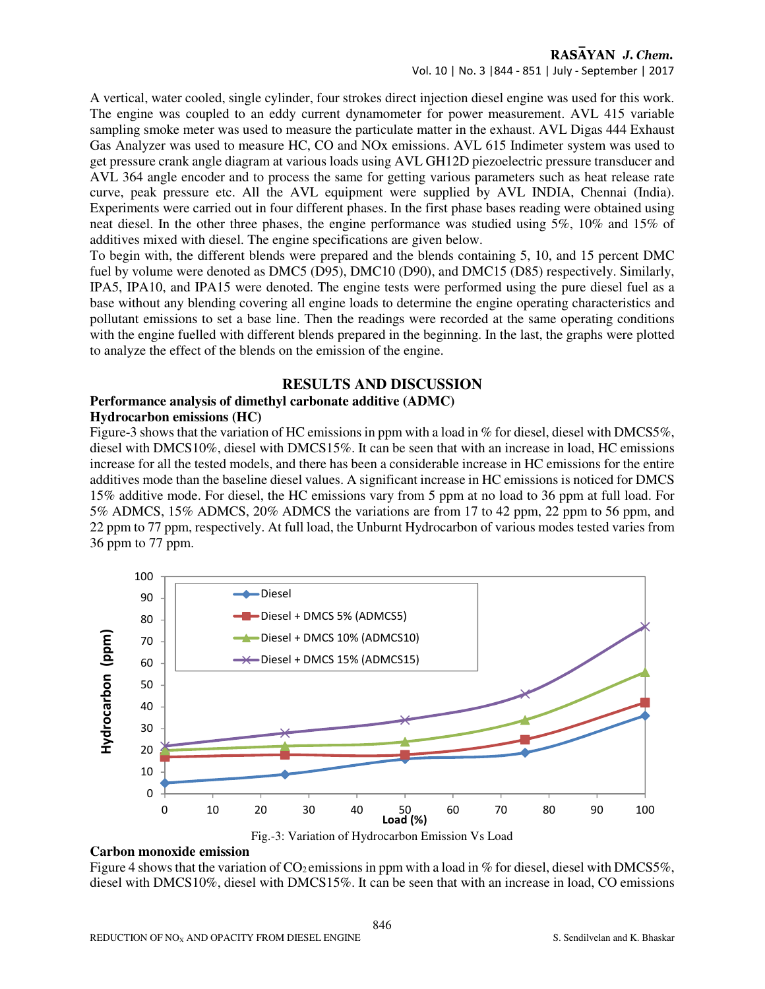Vol. 10 | No. 3 |844 - 851 | July - September | 2017

A vertical, water cooled, single cylinder, four strokes direct injection diesel engine was used for this work. The engine was coupled to an eddy current dynamometer for power measurement. AVL 415 variable sampling smoke meter was used to measure the particulate matter in the exhaust. AVL Digas 444 Exhaust Gas Analyzer was used to measure HC, CO and NOx emissions. AVL 615 Indimeter system was used to get pressure crank angle diagram at various loads using AVL GH12D piezoelectric pressure transducer and AVL 364 angle encoder and to process the same for getting various parameters such as heat release rate curve, peak pressure etc. All the AVL equipment were supplied by AVL INDIA, Chennai (India). Experiments were carried out in four different phases. In the first phase bases reading were obtained using neat diesel. In the other three phases, the engine performance was studied using 5%, 10% and 15% of additives mixed with diesel. The engine specifications are given below.

To begin with, the different blends were prepared and the blends containing 5, 10, and 15 percent DMC fuel by volume were denoted as DMC5 (D95), DMC10 (D90), and DMC15 (D85) respectively. Similarly, IPA5, IPA10, and IPA15 were denoted. The engine tests were performed using the pure diesel fuel as a base without any blending covering all engine loads to determine the engine operating characteristics and pollutant emissions to set a base line. Then the readings were recorded at the same operating conditions with the engine fuelled with different blends prepared in the beginning. In the last, the graphs were plotted to analyze the effect of the blends on the emission of the engine.

## **RESULTS AND DISCUSSION**

## **Performance analysis of dimethyl carbonate additive (ADMC)**

## **Hydrocarbon emissions (HC)**

Figure-3 shows that the variation of HC emissions in ppm with a load in % for diesel, diesel with DMCS5%, diesel with DMCS10%, diesel with DMCS15%. It can be seen that with an increase in load, HC emissions increase for all the tested models, and there has been a considerable increase in HC emissions for the entire additives mode than the baseline diesel values. A significant increase in HC emissions is noticed for DMCS 15% additive mode. For diesel, the HC emissions vary from 5 ppm at no load to 36 ppm at full load. For 5% ADMCS, 15% ADMCS, 20% ADMCS the variations are from 17 to 42 ppm, 22 ppm to 56 ppm, and 22 ppm to 77 ppm, respectively. At full load, the Unburnt Hydrocarbon of various modes tested varies from 36 ppm to 77 ppm.



#### **Carbon monoxide emission**

Figure 4 shows that the variation of  $CO_2$  emissions in ppm with a load in % for diesel, diesel with DMCS5%, diesel with DMCS10%, diesel with DMCS15%. It can be seen that with an increase in load, CO emissions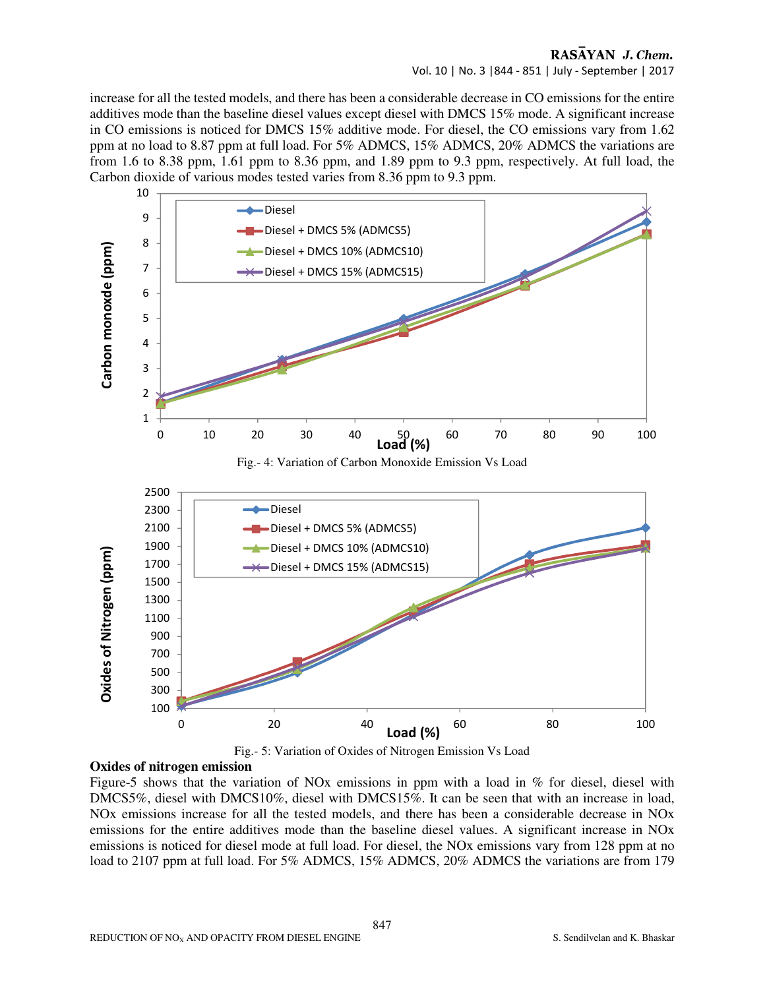#### RASAYAN J. Chem. Vol. 10 | No. 3 |844 - 851 | July - September | 2017

increase for all the tested models, and there has been a considerable decrease in CO emissions for the entire additives mode than the baseline diesel values except diesel with DMCS 15% mode. A significant increase in CO emissions is noticed for DMCS 15% additive mode. For diesel, the CO emissions vary from 1.62 ppm at no load to 8.87 ppm at full load. For 5% ADMCS, 15% ADMCS, 20% ADMCS the variations are from 1.6 to 8.38 ppm, 1.61 ppm to 8.36 ppm, and 1.89 ppm to 9.3 ppm, respectively. At full load, the Carbon dioxide of various modes tested varies from 8.36 ppm to 9.3 ppm.





Figure-5 shows that the variation of NOx emissions in ppm with a load in % for diesel, diesel with DMCS5%, diesel with DMCS10%, diesel with DMCS15%. It can be seen that with an increase in load, NOx emissions increase for all the tested models, and there has been a considerable decrease in NOx emissions for the entire additives mode than the baseline diesel values. A significant increase in NOx emissions is noticed for diesel mode at full load. For diesel, the NOx emissions vary from 128 ppm at no load to 2107 ppm at full load. For 5% ADMCS, 15% ADMCS, 20% ADMCS the variations are from 179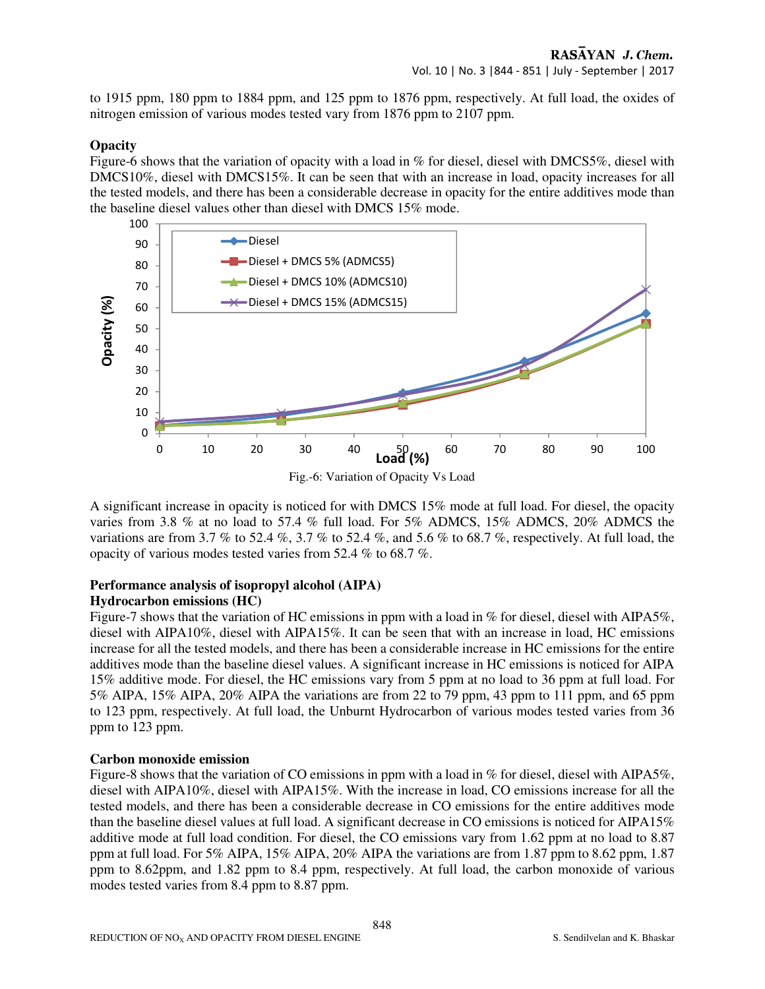to 1915 ppm, 180 ppm to 1884 ppm, and 125 ppm to 1876 ppm, respectively. At full load, the oxides of nitrogen emission of various modes tested vary from 1876 ppm to 2107 ppm.

#### **Opacity**

Figure-6 shows that the variation of opacity with a load in % for diesel, diesel with DMCS5%, diesel with DMCS10%, diesel with DMCS15%. It can be seen that with an increase in load, opacity increases for all the tested models, and there has been a considerable decrease in opacity for the entire additives mode than the baseline diesel values other than diesel with DMCS 15% mode.



A significant increase in opacity is noticed for with DMCS 15% mode at full load. For diesel, the opacity varies from 3.8 % at no load to 57.4 % full load. For 5% ADMCS, 15% ADMCS, 20% ADMCS the variations are from 3.7 % to 52.4 %, 3.7 % to 52.4 %, and 5.6 % to 68.7 %, respectively. At full load, the opacity of various modes tested varies from 52.4 % to 68.7 %.

## **Performance analysis of isopropyl alcohol (AIPA)**

#### **Hydrocarbon emissions (HC)**

Figure-7 shows that the variation of HC emissions in ppm with a load in % for diesel, diesel with AIPA5%, diesel with AIPA10%, diesel with AIPA15%. It can be seen that with an increase in load, HC emissions increase for all the tested models, and there has been a considerable increase in HC emissions for the entire additives mode than the baseline diesel values. A significant increase in HC emissions is noticed for AIPA 15% additive mode. For diesel, the HC emissions vary from 5 ppm at no load to 36 ppm at full load. For 5% AIPA, 15% AIPA, 20% AIPA the variations are from 22 to 79 ppm, 43 ppm to 111 ppm, and 65 ppm to 123 ppm, respectively. At full load, the Unburnt Hydrocarbon of various modes tested varies from 36 ppm to 123 ppm.

#### **Carbon monoxide emission**

Figure-8 shows that the variation of CO emissions in ppm with a load in % for diesel, diesel with AIPA5%, diesel with AIPA10%, diesel with AIPA15%. With the increase in load, CO emissions increase for all the tested models, and there has been a considerable decrease in CO emissions for the entire additives mode than the baseline diesel values at full load. A significant decrease in CO emissions is noticed for AIPA15% additive mode at full load condition. For diesel, the CO emissions vary from 1.62 ppm at no load to 8.87 ppm at full load. For 5% AIPA, 15% AIPA, 20% AIPA the variations are from 1.87 ppm to 8.62 ppm, 1.87 ppm to 8.62ppm, and 1.82 ppm to 8.4 ppm, respectively. At full load, the carbon monoxide of various modes tested varies from 8.4 ppm to 8.87 ppm.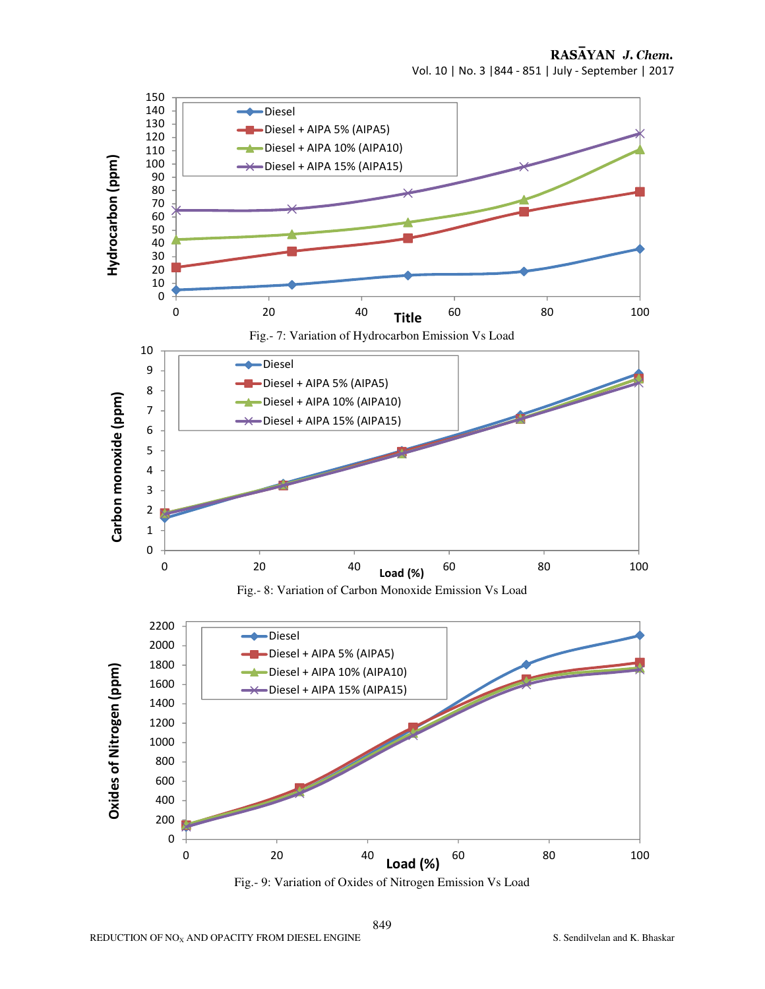

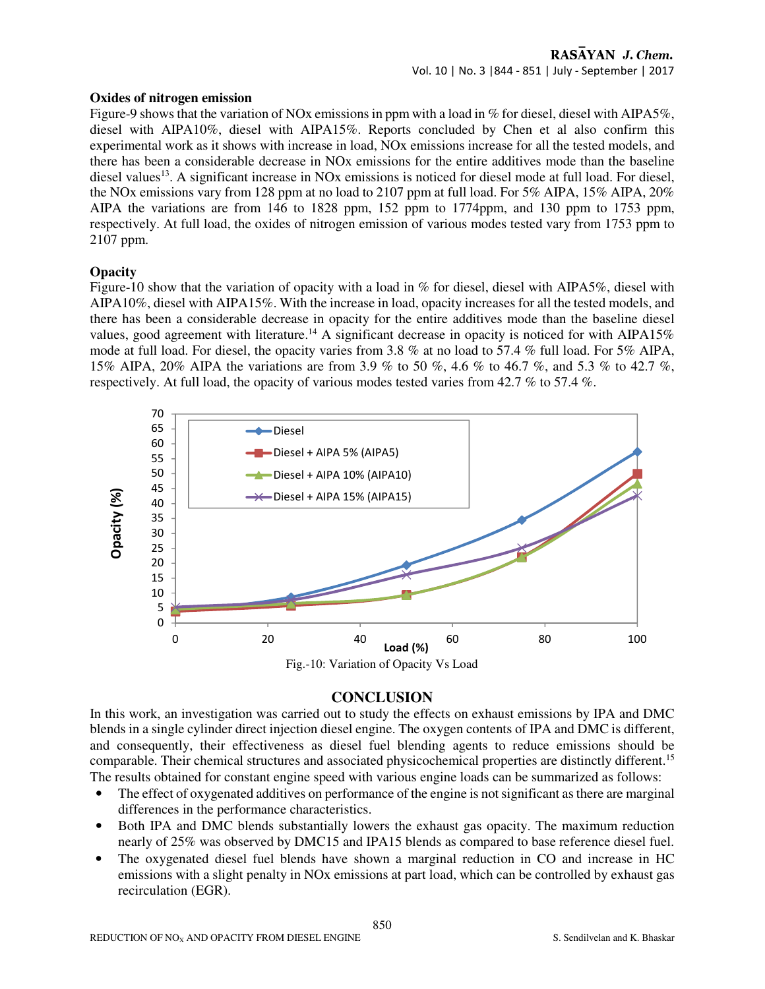#### **Oxides of nitrogen emission**

Figure-9 shows that the variation of NOx emissions in ppm with a load in % for diesel, diesel with AIPA5%, diesel with AIPA10%, diesel with AIPA15%. Reports concluded by Chen et al also confirm this experimental work as it shows with increase in load, NOx emissions increase for all the tested models, and there has been a considerable decrease in NOx emissions for the entire additives mode than the baseline diesel values<sup>13</sup>. A significant increase in NOx emissions is noticed for diesel mode at full load. For diesel, the NOx emissions vary from 128 ppm at no load to 2107 ppm at full load. For 5% AIPA, 15% AIPA, 20% AIPA the variations are from 146 to 1828 ppm, 152 ppm to 1774ppm, and 130 ppm to 1753 ppm, respectively. At full load, the oxides of nitrogen emission of various modes tested vary from 1753 ppm to 2107 ppm.

#### **Opacity**

Figure-10 show that the variation of opacity with a load in % for diesel, diesel with AIPA5%, diesel with AIPA10%, diesel with AIPA15%. With the increase in load, opacity increases for all the tested models, and there has been a considerable decrease in opacity for the entire additives mode than the baseline diesel values, good agreement with literature.<sup>14</sup> A significant decrease in opacity is noticed for with AIPA15% mode at full load. For diesel, the opacity varies from 3.8 % at no load to 57.4 % full load. For 5% AIPA, 15% AIPA, 20% AIPA the variations are from 3.9 % to 50 %, 4.6 % to 46.7 %, and 5.3 % to 42.7 %, respectively. At full load, the opacity of various modes tested varies from 42.7 % to 57.4 %.



## **CONCLUSION**

In this work, an investigation was carried out to study the effects on exhaust emissions by IPA and DMC blends in a single cylinder direct injection diesel engine. The oxygen contents of IPA and DMC is different, and consequently, their effectiveness as diesel fuel blending agents to reduce emissions should be comparable. Their chemical structures and associated physicochemical properties are distinctly different.<sup>15</sup> The results obtained for constant engine speed with various engine loads can be summarized as follows:

- The effect of oxygenated additives on performance of the engine is not significant as there are marginal differences in the performance characteristics.
- Both IPA and DMC blends substantially lowers the exhaust gas opacity. The maximum reduction nearly of 25% was observed by DMC15 and IPA15 blends as compared to base reference diesel fuel.
- The oxygenated diesel fuel blends have shown a marginal reduction in CO and increase in HC emissions with a slight penalty in NOx emissions at part load, which can be controlled by exhaust gas recirculation (EGR).